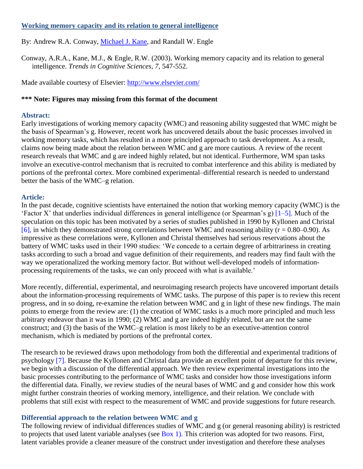# **Working memory capacity and its relation to general intelligence**

By: Andrew R.A. Conway, [Michael J. Kane,](http://libres.uncg.edu/ir/uncg/clist.aspx?id=312) and Randall W. Engle

Conway, A.R.A., Kane, M.J., & Engle, R.W. (2003). Working memory capacity and its relation to general intelligence. *Trends in Cognitive Sciences, 7*, 547-552.

Made available courtesy of Elsevier:<http://www.elsevier.com/>

# **\*\*\* Note: Figures may missing from this format of the document**

### **Abstract:**

Early investigations of working memory capacity (WMC) and reasoning ability suggested that WMC might be the basis of Spearman's g. However, recent work has uncovered details about the basic processes involved in working memory tasks, which has resulted in a more principled approach to task development. As a result, claims now being made about the relation between WMC and g are more cautious. A review of the recent research reveals that WMC and g are indeed highly related, but not identical. Furthermore, WM span tasks involve an executive-control mechanism that is recruited to combat interference and this ability is mediated by portions of the prefrontal cortex. More combined experimental–differential research is needed to understand better the basis of the WMC–g relation.

# **Article:**

In the past decade, cognitive scientists have entertained the notion that working memory capacity (WMC) is the 'Factor X' that underlies individual differences in general intelligence (or Spearman's g) [1–5]. Much of the speculation on this topic has been motivated by a series of studies published in 1990 by Kyllonen and Christal [6], in which they demonstrated strong correlations between WMC and reasoning ability ( $r = 0.80 - 0.90$ ). As impressive as these correlations were, Kyllonen and Christal themselves had serious reservations about the battery of WMC tasks used in their 1990 studies: 'We concede to a certain degree of arbitrariness in creating tasks according to such a broad and vague definition of their requirements, and readers may find fault with the way we operationalized the working memory factor. But without well-developed models of informationprocessing requirements of the tasks, we can only proceed with what is available.'

More recently, differential, experimental, and neuroimaging research projects have uncovered important details about the information-processing requirements of WMC tasks. The purpose of this paper is to review this recent progress, and in so doing, re-examine the relation between WMC and g in light of these new findings. The main points to emerge from the review are: (1) the creation of WMC tasks is a much more principled and much less arbitrary endeavor than it was in 1990; (2) WMC and g are indeed highly related, but are not the same construct; and (3) the basis of the WMC–g relation is most likely to be an executive-attention control mechanism, which is mediated by portions of the prefrontal cortex.

The research to be reviewed draws upon methodology from both the differential and experimental traditions of psychology [7]. Because the Kyllonen and Christal data provide an excellent point of departure for this review, we begin with a discussion of the differential approach. We then review experimental investigations into the basic processes contributing to the performance of WMC tasks and consider how those investigations inform the differential data. Finally, we review studies of the neural bases of WMC and g and consider how this work might further constrain theories of working memory, intelligence, and their relation. We conclude with problems that still exist with respect to the measurement of WMC and provide suggestions for future research.

# **Differential approach to the relation between WMC and g**

The following review of individual differences studies of WMC and g (or general reasoning ability) is restricted to projects that used latent variable analyses (see Box 1). This criterion was adopted for two reasons. First, latent variables provide a cleaner measure of the construct under investigation and therefore these analyses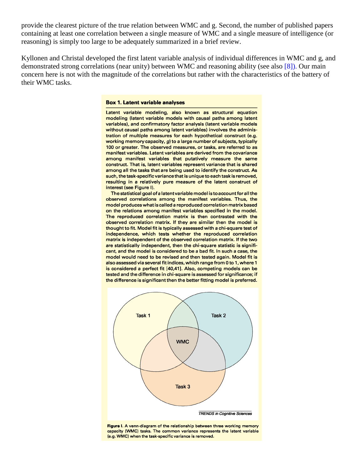provide the clearest picture of the true relation between WMC and g. Second, the number of published papers containing at least one correlation between a single measure of WMC and a single measure of intelligence (or reasoning) is simply too large to be adequately summarized in a brief review.

Kyllonen and Christal developed the first latent variable analysis of individual differences in WMC and g, and demonstrated strong correlations (near unity) between WMC and reasoning ability (see also [8]). Our main concern here is not with the magnitude of the correlations but rather with the characteristics of the battery of their WMC tasks.

#### **Box 1. Latent variable analyses**

Latent variable modeling, also known as structural equation modeling (latent variable models with causal paths among latent variables), and confirmatory factor analysis (latent variable models without causal paths among latent variables) involves the administration of multiple measures for each hypothetical construct (e.g. working memory capacity,  $g$ ) to a large number of subjects, typically 100 or greater. The observed measures, or tasks, are referred to as manifest variables. Latent variables are derived from the covariance among manifest variables that putatively measure the same construct. That is, latent variables represent variance that is shared among all the tasks that are being used to identify the construct. As such, the task-specific variance that is unique to each task is removed, resulting in a relatively pure measure of the latent construct of interest (see Figure I).

The statistical goal of a latent variable model is to account for all the observed correlations among the manifest variables. Thus, the model produces what is called a reproduced correlation matrix based on the relations among manifest variables specified in the model. The reproduced correlation matrix is then contrasted with the observed correlation matrix. If they are similar then the model is thought to fit. Model fit is typically assessed with a chi-square test of independence, which tests whether the reproduced correlation matrix is independent of the observed correlation matrix. If the two are statistically independent, then the chi-square statistic is significant, and the model is considered to be a bad fit. In such a case, the model would need to be revised and then tested again. Model fit is also assessed via several fit indices, which range from 0 to 1, where 1 is considered a perfect fit [40,41]. Also, competing models can be tested and the difference in chi-square is assessed for significance; if the difference is significant then the better fitting model is preferred.



Figure I. A venn-diagram of the relationship between three working memory capacity (WMC) tasks. The common variance represents the latent variable (e.g. WMC) when the task-specific variance is removed.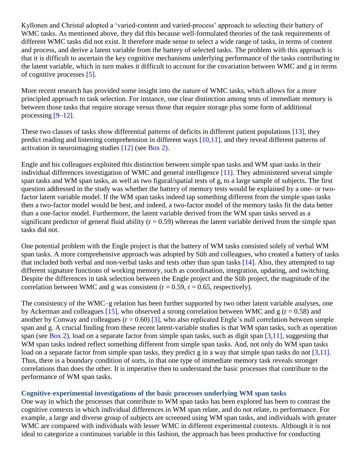Kyllonen and Christal adopted a 'varied-content and varied-process' approach to selecting their battery of WMC tasks. As mentioned above, they did this because well-formulated theories of the task requirements of different WMC tasks did not exist. It therefore made sense to select a wide range of tasks, in terms of content and process, and derive a latent variable from the battery of selected tasks. The problem with this approach is that it is difficult to ascertain the key cognitive mechanisms underlying performance of the tasks contributing to the latent variable, which in turn makes it difficult to account for the covariation between WMC and g in terms of cognitive processes [5].

More recent research has provided some insight into the nature of WMC tasks, which allows for a more principled approach to task selection. For instance, one clear distinction among tests of immediate memory is between those tasks that require storage versus those that require storage plus some form of additional processing [9–12].

These two classes of tasks show differential patterns of deficits in different patient populations [13], they predict reading and listening comprehension in different ways [10,11], and they reveal different patterns of activation in neuroimaging studies [12] (see Box 2).

Engle and his colleagues exploited this distinction between simple span tasks and WM span tasks in their individual differences investigation of WMC and general intelligence [11]. They administered several simple span tasks and WM span tasks, as well as two figural/spatial tests of g, to a large sample of subjects. The first question addressed in the study was whether the battery of memory tests would be explained by a one- or twofactor latent variable model. If the WM span tasks indeed tap something different from the simple span tasks then a two-factor model would be best, and indeed, a two-factor model of the memory tasks fit the data better than a one-factor model. Furthermore, the latent variable derived from the WM span tasks served as a significant predictor of general fluid ability ( $r = 0.59$ ) whereas the latent variable derived from the simple span tasks did not.

One potential problem with the Engle project is that the battery of WM tasks consisted solely of verbal WM span tasks. A more comprehensive approach was adopted by Süb and colleagues, who created a battery of tasks that included both verbal and non-verbal tasks and tests other than span tasks [14]. Also, they attempted to tap different signature functions of working memory, such as coordination, integration, updating, and switching. Despite the differences in task selection between the Engle project and the Süb project, the magnitude of the correlation between WMC and g was consistent ( $r = 0.59$ ,  $r = 0.65$ , respectively).

The consistency of the WMC–g relation has been further supported by two other latent variable analyses, one by Ackerman and colleagues [15], who observed a strong correlation between WMC and g ( $r = 0.58$ ) and another by Conway and colleagues ( $r = 0.60$ ) [3], who also replicated Engle's null correlation between simple span and g. A crucial finding from these recent latent-variable studies is that WM span tasks, such as operation span (see Box 2), load on a separate factor from simple span tasks, such as digit span [3,11], suggesting that WM span tasks indeed reflect something different from simple span tasks. And, not only do WM span tasks load on a separate factor from simple span tasks, they predict g in a way that simple span tasks do not [3,11]. Thus, there is a boundary condition of sorts, in that one type of immediate memory task reveals stronger correlations than does the other. It is imperative then to understand the basic processes that contribute to the performance of WM span tasks.

### **Cognitive-experimental investigations of the basic processes underlying WM span tasks**

One way in which the processes that contribute to WM span tasks has been explored has been to contrast the cognitive contexts in which individual differences in WM span relate, and do not relate, to performance. For example, a large and diverse group of subjects are screened using WM span tasks, and individuals with greater WMC are compared with individuals with lesser WMC in different experimental contexts. Although it is not ideal to categorize a continuous variable in this fashion, the approach has been productive for conducting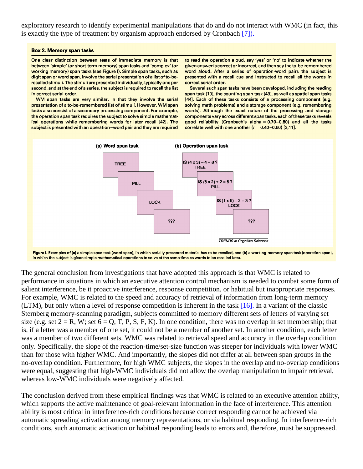exploratory research to identify experimental manipulations that do and do not interact with WMC (in fact, this is exactly the type of treatment by organism approach endorsed by Cronbach [7]).

#### **Box 2. Memory span tasks**

One clear distinction between tests of immediate memory is that between 'simple' (or short-term memory) span tasks and 'complex' (or working memory) span tasks (see Figure I). Simple span tasks, such as digit span or word span, involve the serial presentation of a list of to-berecalled stimuli. The stimuli are presented individually, typically one per second, and at the end of a series, the subject is required to recall the list in correct serial order.

WM span tasks are very similar, in that they involve the serial presentation of a to-be-remembered list of stimuli. However, WM span tasks also consist of a secondary processing component. For example, the operation span task requires the subject to solve simple mathematical operations while remembering words for later recall [42]. The subject is presented with an operation-word pair and they are required to read the operation aloud, say 'yes' or 'no' to indicate whether the given answer is correct or incorrect, and then say the to-be-remembered word aloud. After a series of operation-word pairs the subject is presented with a recall cue and instructed to recall all the words in correct serial order.

Several such span tasks have been developed, including the reading span task [10], the counting span task [43], as well as spatial span tasks [44]. Each of these tasks consists of a processing component (e.g. solving math problems) and a storage component (e.g. remembering words). Although the exact nature of the processing and storage components vary across different span tasks, each of these tasks reveals good reliability (Cronbach's alpha  $= 0.70-0.80$ ) and all the tasks correlate well with one another  $(r = 0.40 - 0.60)$  [3,11].



Figure I. Examples of (a) a simple span task (word span), in which serially presented material has to be recalled, and (b) a working-memory span task (operation span), in which the subject is given simple mathematical operations to solve at the same time as words to be recalled later.

The general conclusion from investigations that have adopted this approach is that WMC is related to performance in situations in which an executive attention control mechanism is needed to combat some form of salient interference, be it proactive interference, response competition, or habitual but inappropriate responses. For example, WMC is related to the speed and accuracy of retrieval of information from long-term memory (LTM), but only when a level of response competition is inherent in the task [16]. In a variant of the classic Sternberg memory-scanning paradigm, subjects committed to memory different sets of letters of varying set size (e.g. set  $2 = R$ , W; set  $6 = Q$ , T, P, S, F, K). In one condition, there was no overlap in set membership; that is, if a letter was a member of one set, it could not be a member of another set. In another condition, each letter was a member of two different sets. WMC was related to retrieval speed and accuracy in the overlap condition only. Specifically, the slope of the reaction-time/set-size function was steeper for individuals with lower WMC than for those with higher WMC. And importantly, the slopes did not differ at all between span groups in the no-overlap condition. Furthermore, for high WMC subjects, the slopes in the overlap and no-overlap conditions were equal, suggesting that high-WMC individuals did not allow the overlap manipulation to impair retrieval, whereas low-WMC individuals were negatively affected.

The conclusion derived from these empirical findings was that WMC is related to an executive attention ability, which supports the active maintenance of goal-relevant information in the face of interference. This attention ability is most critical in interference-rich conditions because correct responding cannot be achieved via automatic spreading activation among memory representations, or via habitual responding. In interference-rich conditions, such automatic activation or habitual responding leads to errors and, therefore, must be suppressed.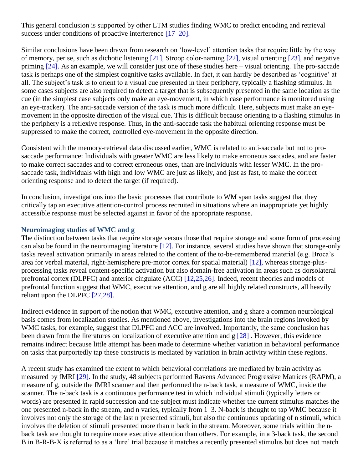This general conclusion is supported by other LTM studies finding WMC to predict encoding and retrieval success under conditions of proactive interference [17–20].

Similar conclusions have been drawn from research on 'low-level' attention tasks that require little by the way of memory, per se, such as dichotic listening [21], Stroop color-naming [22], visual orienting [23], and negative priming [24]. As an example, we will consider just one of these studies here – visual orienting. The pro-saccade task is perhaps one of the simplest cognitive tasks available. In fact, it can hardly be described as 'cognitive' at all. The subject's task is to orient to a visual cue presented in their periphery, typically a flashing stimulus. In some cases subjects are also required to detect a target that is subsequently presented in the same location as the cue (in the simplest case subjects only make an eye-movement, in which case performance is monitored using an eye-tracker). The anti-saccade version of the task is much more difficult. Here, subjects must make an eyemovement in the opposite direction of the visual cue. This is difficult because orienting to a flashing stimulus in the periphery is a reflexive response. Thus, in the anti-saccade task the habitual orienting response must be suppressed to make the correct, controlled eye-movement in the opposite direction.

Consistent with the memory-retrieval data discussed earlier, WMC is related to anti-saccade but not to prosaccade performance: Individuals with greater WMC are less likely to make erroneous saccades, and are faster to make correct saccades and to correct erroneous ones, than are individuals with lesser WMC. In the prosaccade task, individuals with high and low WMC are just as likely, and just as fast, to make the correct orienting response and to detect the target (if required).

In conclusion, investigations into the basic processes that contribute to WM span tasks suggest that they critically tap an executive attention-control process recruited in situations where an inappropriate yet highly accessible response must be selected against in favor of the appropriate response.

# **Neuroimaging studies of WMC and g**

The distinction between tasks that require storage versus those that require storage and some form of processing can also be found in the neuroimaging literature  $[12]$ . For instance, several studies have shown that storage-only tasks reveal activation primarily in areas related to the content of the to-be-remembered material (e.g. Broca's area for verbal material, right-hemisphere pre-motor cortex for spatial material) [12], whereas storage-plusprocessing tasks reveal content-specific activation but also domain-free activation in areas such as dorsolateral prefrontal cortex (DLPFC) and anterior cingulate (ACC) [12,25,26]. Indeed, recent theories and models of prefrontal function suggest that WMC, executive attention, and g are all highly related constructs, all heavily reliant upon the DLPFC [27,28].

Indirect evidence in support of the notion that WMC, executive attention, and g share a common neurological basis comes from localization studies. As mentioned above, investigations into the brain regions invoked by WMC tasks, for example, suggest that DLPFC and ACC are involved. Importantly, the same conclusion has been drawn from the literatures on localization of executive attention and  $g$  [28]. However, this evidence remains indirect because little attempt has been made to determine whether variation in behavioral performance on tasks that purportedly tap these constructs is mediated by variation in brain activity within these regions.

A recent study has examined the extent to which behavioral correlations are mediated by brain activity as measured by fMRI [29]. In the study, 48 subjects performed Ravens Advanced Progressive Matrices (RAPM), a measure of g, outside the fMRI scanner and then performed the n-back task, a measure of WMC, inside the scanner. The n-back task is a continuous performance test in which individual stimuli (typically letters or words) are presented in rapid succession and the subject must indicate whether the current stimulus matches the one presented n-back in the stream, and n varies, typically from 1–3. N-back is thought to tap WMC because it involves not only the storage of the last n presented stimuli, but also the continuous updating of n stimuli, which involves the deletion of stimuli presented more than n back in the stream. Moreover, some trials within the nback task are thought to require more executive attention than others. For example, in a 3-back task, the second B in B-R-B-X is referred to as a 'lure' trial because it matches a recently presented stimulus but does not match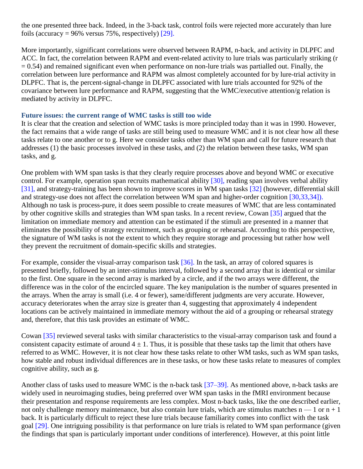the one presented three back. Indeed, in the 3-back task, control foils were rejected more accurately than lure foils (accuracy =  $96\%$  versus 75%, respectively) [29].

More importantly, significant correlations were observed between RAPM, n-back, and activity in DLPFC and ACC. In fact, the correlation between RAPM and event-related activity to lure trials was particularly striking (r  $= 0.54$ ) and remained significant even when performance on non-lure trials was partialled out. Finally, the correlation between lure performance and RAPM was almost completely accounted for by lure-trial activity in DLPFC. That is, the percent-signal-change in DLPFC associated with lure trials accounted for 92% of the covariance between lure performance and RAPM, suggesting that the WMC/executive attention/g relation is mediated by activity in DLPFC.

### **Future issues: the current range of WMC tasks is still too wide**

It is clear that the creation and selection of WMC tasks is more principled today than it was in 1990. However, the fact remains that a wide range of tasks are still being used to measure WMC and it is not clear how all these tasks relate to one another or to g. Here we consider tasks other than WM span and call for future research that addresses (1) the basic processes involved in these tasks, and (2) the relation between these tasks, WM span tasks, and g.

One problem with WM span tasks is that they clearly require processes above and beyond WMC or executive control. For example, operation span recruits mathematical ability [30], reading span involves verbal ability [31], and strategy-training has been shown to improve scores in WM span tasks [32] (however, differential skill and strategy-use does not affect the correlation between WM span and higher-order cognition [30,33,34]). Although no task is process-pure, it does seem possible to create measures of WMC that are less contaminated by other cognitive skills and strategies than WM span tasks. In a recent review, Cowan [35] argued that the limitation on immediate memory and attention can be estimated if the stimuli are presented in a manner that eliminates the possibility of strategy recruitment, such as grouping or rehearsal. According to this perspective, the signature of WM tasks is not the extent to which they require storage and processing but rather how well they prevent the recruitment of domain-specific skills and strategies.

For example, consider the visual-array comparison task [36]. In the task, an array of colored squares is presented briefly, followed by an inter-stimulus interval, followed by a second array that is identical or similar to the first. One square in the second array is marked by a circle, and if the two arrays were different, the difference was in the color of the encircled square. The key manipulation is the number of squares presented in the arrays. When the array is small (i.e. 4 or fewer), same/different judgments are very accurate. However, accuracy deteriorates when the array size is greater than 4, suggesting that approximately 4 independent locations can be actively maintained in immediate memory without the aid of a grouping or rehearsal strategy and, therefore, that this task provides an estimate of WMC.

Cowan [35] reviewed several tasks with similar characteristics to the visual-array comparison task and found a consistent capacity estimate of around  $4 \pm 1$ . Thus, it is possible that these tasks tap the limit that others have referred to as WMC. However, it is not clear how these tasks relate to other WM tasks, such as WM span tasks, how stable and robust individual differences are in these tasks, or how these tasks relate to measures of complex cognitive ability, such as g.

Another class of tasks used to measure WMC is the n-back task [37–39]. As mentioned above, n-back tasks are widely used in neuroimaging studies, being preferred over WM span tasks in the fMRI environment because their presentation and response requirements are less complex. Most n-back tasks, like the one described earlier, not only challenge memory maintenance, but also contain lure trials, which are stimulus matches  $n - 1$  or  $n + 1$ back. It is particularly difficult to reject these lure trials because familiarity comes into conflict with the task goal [29]. One intriguing possibility is that performance on lure trials is related to WM span performance (given the findings that span is particularly important under conditions of interference). However, at this point little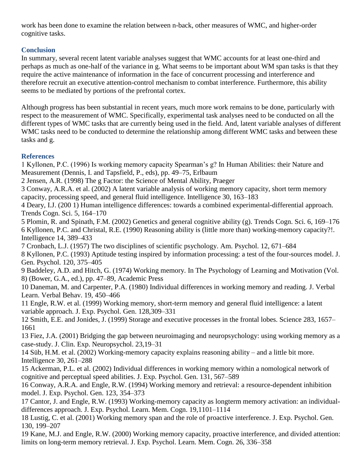work has been done to examine the relation between n-back, other measures of WMC, and higher-order cognitive tasks.

# **Conclusion**

In summary, several recent latent variable analyses suggest that WMC accounts for at least one-third and perhaps as much as one-half of the variance in g. What seems to be important about WM span tasks is that they require the active maintenance of information in the face of concurrent processing and interference and therefore recruit an executive attention-control mechanism to combat interference. Furthermore, this ability seems to be mediated by portions of the prefrontal cortex.

Although progress has been substantial in recent years, much more work remains to be done, particularly with respect to the measurement of WMC. Specifically, experimental task analyses need to be conducted on all the different types of WMC tasks that are currently being used in the field. And, latent variable analyses of different WMC tasks need to be conducted to determine the relationship among different WMC tasks and between these tasks and g.

# **References**

1 Kyllonen, P.C. (1996) Is working memory capacity Spearman's g? In Human Abilities: their Nature and Measurement (Dennis, I. and Tapsfield, P., eds), pp. 49–75, Erlbaum

2 Jensen, A.R. (1998) The g Factor: the Science of Mental Ability, Praeger

3 Conway, A.R.A. et al. (2002) A latent variable analysis of working memory capacity, short term memory capacity, processing speed, and general fluid intelligence. Intelligence 30, 163–183

4 Deary, I.J. (200 1) Human intelligence differences: towards a combined experimental-differential approach. Trends Cogn. Sci. 5, 164–170

5 Plomin, R. and Spinath, F.M. (2002) Genetics and general cognitive ability (g). Trends Cogn. Sci. 6, 169–176 6 Kyllonen, P.C. and Christal, R.E. (1990) Reasoning ability is (little more than) working-memory capacity?!. Intelligence 14, 389–433

7 Cronbach, L.J. (1957) The two disciplines of scientific psychology. Am. Psychol. 12, 671–684 8 Kyllonen, P.C. (1993) Aptitude testing inspired by information processing: a test of the four-sources model. J.

Gen. Psychol. 120, 375–405

9 Baddeley, A.D. and Hitch, G. (1974) Working memory. In The Psychology of Learning and Motivation (Vol. 8) (Bower, G.A., ed.), pp. 47–89, Academic Press

10 Daneman, M. and Carpenter, P.A. (1980) Individual differences in working memory and reading. J. Verbal Learn. Verbal Behav. 19, 450–466

11 Engle, R.W. et al. (1999) Working memory, short-term memory and general fluid intelligence: a latent variable approach. J. Exp. Psychol. Gen. 128,309–331

12 Smith, E.E. and Jonides, J. (1999) Storage and executive processes in the frontal lobes. Science 283, 1657– 1661

13 Fiez, J.A. (2001) Bridging the gap between neuroimaging and neuropsychology: using working memory as a case-study. J. Clin. Exp. Neuropsychol. 23,19–31

14 Süb, H.M. et al. (2002) Working-memory capacity explains reasoning ability – and a little bit more. Intelligence 30, 261–288

15 Ackerman, P.L. et al. (2002) Individual differences in working memory within a nomological network of cognitive and perceptual speed abilities. J. Exp. Psychol. Gen. 131, 567–589

16 Conway, A.R.A. and Engle, R.W. (1994) Working memory and retrieval: a resource-dependent inhibition model. J. Exp. Psychol. Gen. 123, 354–373

17 Cantor, J. and Engle, R.W. (1993) Working-memory capacity as longterm memory activation: an individualdifferences approach. J. Exp. Psychol. Learn. Mem. Cogn. 19,1101–1114

18 Lustig, C. et al. (2001) Working memory span and the role of proactive interference. J. Exp. Psychol. Gen. 130, 199–207

19 Kane, M.J. and Engle, R.W. (2000) Working memory capacity, proactive interference, and divided attention: limits on long-term memory retrieval. J. Exp. Psychol. Learn. Mem. Cogn. 26, 336–358